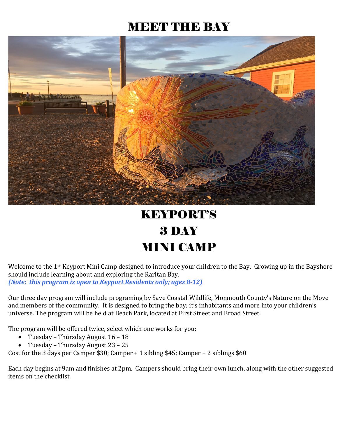## MEET THE BAY



## KEYPORT'S 3 DAY MINI CAMP

Welcome to the 1<sup>st</sup> Keyport Mini Camp designed to introduce your children to the Bay. Growing up in the Bayshore should include learning about and exploring the Raritan Bay. *(Note: this program is open to Keyport Residents only; ages 8-12)*

Our three day program will include programing by Save Coastal Wildlife, Monmouth County's Nature on the Move and members of the community. It is designed to bring the bay; it's inhabitants and more into your children's universe. The program will be held at Beach Park, located at First Street and Broad Street.

The program will be offered twice, select which one works for you:<br>• Tuesdav – Thursdav August 16 – 18

- Tuesday Thursday August 16 18
- Tuesday Thursday August 23 25

Cost for the 3 days per Camper \$30; Camper + 1 sibling \$45; Camper + 2 siblings \$60

Each day begins at 9am and finishes at 2pm. Campers should bring their own lunch, along with the other suggested items on the checklist.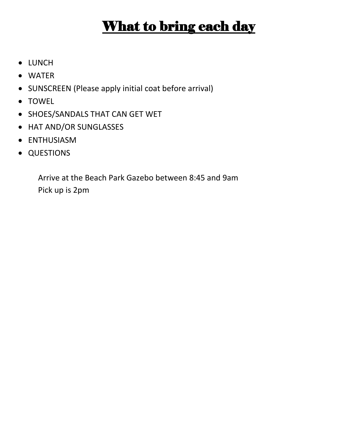# What to bring each day

- LUNCH
- WATER
- SUNSCREEN (Please apply initial coat before arrival)
- TOWEL
- SHOES/SANDALS THAT CAN GET WET
- HAT AND/OR SUNGLASSES
- ENTHUSIASM
- QUESTIONS

Arrive at the Beach Park Gazebo between 8:45 and 9am Pick up is 2pm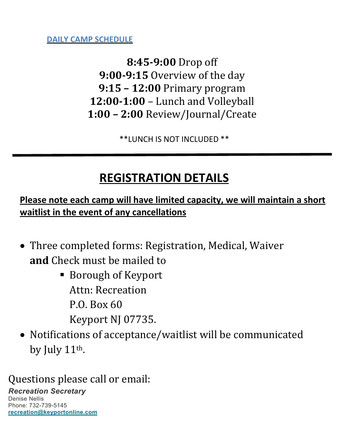**DAILY CAMP SCHEDULE**

**8:45-9:00** Drop off **9:00-9:15** Overview of the day **9:15 – 12:00** Primary program **12:00-1:00** – Lunch and Volleyball **1:00 – 2:00** Review/Journal/Create

\*\*LUNCH IS NOT INCLUDED \*\*

## **REGISTRATION DETAILS**

**Please note each camp will have limited capacity, we will maintain a short waitlist in the event of any cancellations** 

- Three completed forms: Registration, Medical, Waiver **and** Check must be mailed to
	- Borough of Keyport Attn: Recreation P.O. Box 60 Keyport NJ 07735.
- Notifications of acceptance/waitlist will be communicated by July 11th.

Questions please call or email:

### *Recreation Secretary*

Denise Nellis Phone: 732-739-5145 **[recreation@keyportonline.com](mailto:recreation@keyportonline.com)**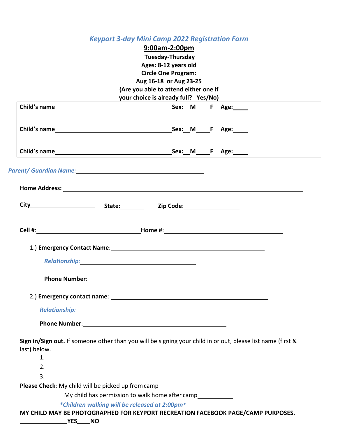#### *Keyport 3-day Mini Camp 2022 Registration Form*

#### **9:00am-2:00pm Tuesday-Thursday Ages: 8-12 years old Circle One Program: Aug 16-18 or Aug 23-25 (Are you able to attend either one if your choice is already full? Yes/No)**

|                                                           |                                               |                                                                                                                                                                                                                                | Home Address: North American Commission Commission Commission Commission Commission Commission Commission Commission |
|-----------------------------------------------------------|-----------------------------------------------|--------------------------------------------------------------------------------------------------------------------------------------------------------------------------------------------------------------------------------|----------------------------------------------------------------------------------------------------------------------|
|                                                           |                                               |                                                                                                                                                                                                                                |                                                                                                                      |
|                                                           |                                               |                                                                                                                                                                                                                                |                                                                                                                      |
|                                                           |                                               |                                                                                                                                                                                                                                |                                                                                                                      |
|                                                           |                                               |                                                                                                                                                                                                                                |                                                                                                                      |
|                                                           |                                               | Relationship: Note and the set of the set of the set of the set of the set of the set of the set of the set of the set of the set of the set of the set of the set of the set of the set of the set of the set of the set of t |                                                                                                                      |
|                                                           |                                               |                                                                                                                                                                                                                                |                                                                                                                      |
|                                                           |                                               |                                                                                                                                                                                                                                |                                                                                                                      |
|                                                           |                                               | Relationship: And All and All and All and All and All and All and All and All and All and All and All and All                                                                                                                  |                                                                                                                      |
|                                                           |                                               |                                                                                                                                                                                                                                |                                                                                                                      |
|                                                           |                                               |                                                                                                                                                                                                                                |                                                                                                                      |
| last) below.                                              |                                               |                                                                                                                                                                                                                                | Sign in/Sign out. If someone other than you will be signing your child in or out, please list name (first &          |
| 1.                                                        |                                               |                                                                                                                                                                                                                                |                                                                                                                      |
| 2.                                                        |                                               |                                                                                                                                                                                                                                |                                                                                                                      |
| 3.                                                        |                                               |                                                                                                                                                                                                                                |                                                                                                                      |
| <b>Please Check:</b> My child will be picked up from camp |                                               |                                                                                                                                                                                                                                |                                                                                                                      |
|                                                           |                                               | My child has permission to walk home after camp                                                                                                                                                                                |                                                                                                                      |
|                                                           | *Children walking will be released at 2:00pm* |                                                                                                                                                                                                                                |                                                                                                                      |
|                                                           |                                               |                                                                                                                                                                                                                                | MY CHILD MAY BE PHOTOGRAPHED FOR KEYPORT RECREATION FACEBOOK PAGE/CAMP PURPOSES.                                     |

**YES NO**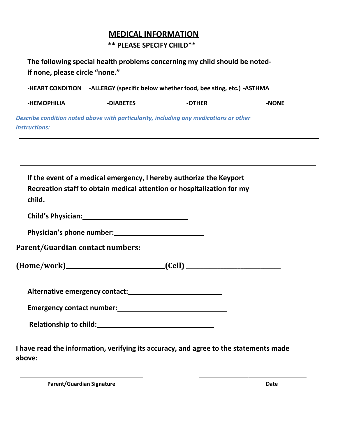#### **MEDICAL INFORMATION**

#### **\*\* PLEASE SPECIFY CHILD\*\***

| The following special health problems concerning my child should be noted- |
|----------------------------------------------------------------------------|
| if none, please circle "none."                                             |

**-HEART CONDITION -ALLERGY (specific below whether food, bee sting, etc.) -ASTHMA**

**-HEMOPHILIA -DIABETES -OTHER -NONE**

*Describe condition noted above with particularity, including any medications or other instructions:*

| If the event of a medical emergency, I hereby authorize the Keyport<br>Recreation staff to obtain medical attention or hospitalization for my<br>child.                                                                        |  |
|--------------------------------------------------------------------------------------------------------------------------------------------------------------------------------------------------------------------------------|--|
| Child's Physician: 1997 - 1998 - 1999 - 1999 - 1999 - 1999 - 1999 - 1999 - 1999 - 1999 - 1999 - 1999 - 1999 - 1                                                                                                                |  |
|                                                                                                                                                                                                                                |  |
| <b>Parent/Guardian contact numbers:</b>                                                                                                                                                                                        |  |
|                                                                                                                                                                                                                                |  |
|                                                                                                                                                                                                                                |  |
|                                                                                                                                                                                                                                |  |
| Relationship to child: Name of the Child Control of the Child Child Child Child Child Child Child Child Child Child Child Child Child Child Child Child Child Child Child Child Child Child Child Child Child Child Child Chil |  |

**I have read the information, verifying its accuracy, and agree to the statements made above:**

**Parent/Guardian Signature Date**